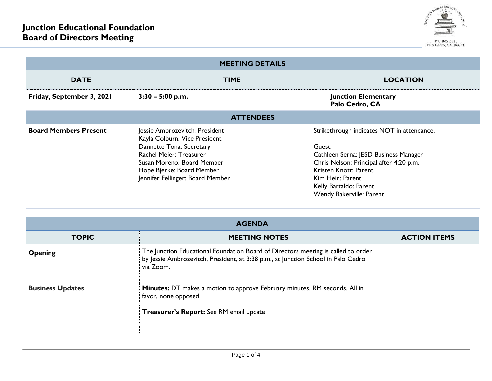

| <b>MEETING DETAILS</b>       |                                                                                                                                                                                                                              |        |                                                                                                                                                                                                                                          |  |  |  |
|------------------------------|------------------------------------------------------------------------------------------------------------------------------------------------------------------------------------------------------------------------------|--------|------------------------------------------------------------------------------------------------------------------------------------------------------------------------------------------------------------------------------------------|--|--|--|
| <b>DATE</b>                  | <b>TIME</b>                                                                                                                                                                                                                  |        | <b>LOCATION</b>                                                                                                                                                                                                                          |  |  |  |
| Friday, September 3, 2021    | $3:30 - 5:00$ p.m.                                                                                                                                                                                                           |        | <b>Junction Elementary</b><br>Palo Cedro, CA                                                                                                                                                                                             |  |  |  |
| <b>ATTENDEES</b>             |                                                                                                                                                                                                                              |        |                                                                                                                                                                                                                                          |  |  |  |
| <b>Board Members Present</b> | Jessie Ambrozevitch: President<br>Kayla Colburn: Vice President<br>Dannette Tona: Secretary<br><b>Rachel Meier: Treasurer</b><br>Susan Moreno: Board Member<br>Hope Bjerke: Board Member<br>Jennifer Fellinger: Board Member | Guest: | Strikethrough indicates NOT in attendance.<br><b>Cathleen Serna: IESD Business Manager</b><br>Chris Nelson: Principal after 4:20 p.m.<br>Kristen Knott: Parent<br>Kim Hein: Parent<br>Kelly Bartaldo: Parent<br>Wendy Bakerville: Parent |  |  |  |

| <b>AGENDA</b>                                                                                                                 |                                                                                                                                                                                     |                     |  |  |  |
|-------------------------------------------------------------------------------------------------------------------------------|-------------------------------------------------------------------------------------------------------------------------------------------------------------------------------------|---------------------|--|--|--|
| <b>TOPIC</b>                                                                                                                  | <b>MEETING NOTES</b>                                                                                                                                                                | <b>ACTION ITEMS</b> |  |  |  |
| <b>Opening</b>                                                                                                                | The Junction Educational Foundation Board of Directors meeting is called to order<br>by Jessie Ambrozevitch, President, at 3:38 p.m., at Junction School in Palo Cedro<br>via Zoom. |                     |  |  |  |
| <b>Business Updates</b><br>Minutes: DT makes a motion to approve February minutes. RM seconds. All in<br>favor, none opposed. |                                                                                                                                                                                     |                     |  |  |  |
|                                                                                                                               | Treasurer's Report: See RM email update                                                                                                                                             |                     |  |  |  |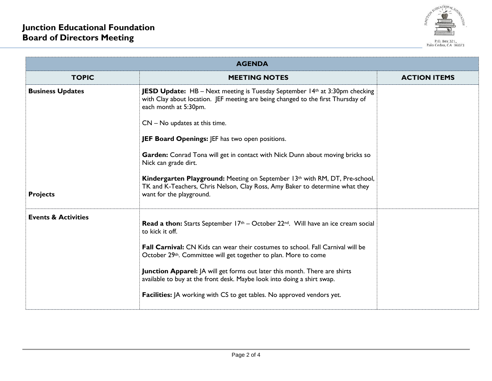

| <b>AGENDA</b>                  |                                                                                                                                                                                                 |                     |  |  |  |
|--------------------------------|-------------------------------------------------------------------------------------------------------------------------------------------------------------------------------------------------|---------------------|--|--|--|
| <b>TOPIC</b>                   | <b>MEETING NOTES</b>                                                                                                                                                                            | <b>ACTION ITEMS</b> |  |  |  |
| <b>Business Updates</b>        | <b>JESD Update:</b> HB - Next meeting is Tuesday September 14th at 3:30pm checking<br>with Clay about location. JEF meeting are being changed to the first Thursday of<br>each month at 5:30pm. |                     |  |  |  |
|                                | $CN - No$ updates at this time.                                                                                                                                                                 |                     |  |  |  |
|                                | JEF Board Openings: JEF has two open positions.                                                                                                                                                 |                     |  |  |  |
|                                | Garden: Conrad Tona will get in contact with Nick Dunn about moving bricks so<br>Nick can grade dirt.                                                                                           |                     |  |  |  |
| <b>Projects</b>                | Kindergarten Playground: Meeting on September 13th with RM, DT, Pre-school,<br>TK and K-Teachers, Chris Nelson, Clay Ross, Amy Baker to determine what they<br>want for the playground.         |                     |  |  |  |
| <b>Events &amp; Activities</b> | <b>Read a thon:</b> Starts September $17th$ – October 22 <sup>nd</sup> . Will have an ice cream social<br>to kick it off.                                                                       |                     |  |  |  |
|                                | <b>Fall Carnival:</b> CN Kids can wear their costumes to school. Fall Carnival will be<br>October 29th. Committee will get together to plan. More to come                                       |                     |  |  |  |
|                                | Junction Apparel:   A will get forms out later this month. There are shirts<br>available to buy at the front desk. Maybe look into doing a shirt swap.                                          |                     |  |  |  |
|                                | <b>Facilities:</b> JA working with CS to get tables. No approved vendors yet.                                                                                                                   |                     |  |  |  |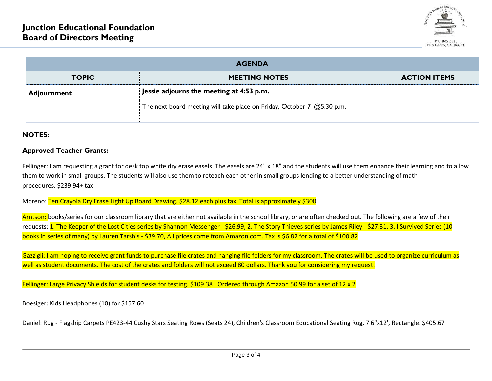

| <b>AGENDA</b> |                                                                        |                     |  |  |  |
|---------------|------------------------------------------------------------------------|---------------------|--|--|--|
| <b>TOPIC</b>  | <b>MEETING NOTES</b>                                                   | <b>ACTION ITEMS</b> |  |  |  |
| Adjournment   | Jessie adjourns the meeting at 4:53 p.m.                               |                     |  |  |  |
|               | The next board meeting will take place on Friday, October 7 @5:30 p.m. |                     |  |  |  |

## **NOTES:**

## **Approved Teacher Grants:**

Fellinger: I am requesting a grant for desk top white dry erase easels. The easels are 24" x 18" and the students will use them enhance their learning and to allow them to work in small groups. The students will also use them to reteach each other in small groups lending to a better understanding of math procedures. \$239.94+ tax

Moreno: Ten Crayola Dry Erase Light Up Board Drawing. \$28.12 each plus tax. Total is approximately \$300

Arntson: books/series for our classroom library that are either not available in the school library, or are often checked out. The following are a few of their requests: 1. The Keeper of the Lost Cities series by Shannon Messenger - \$26.99, 2. The Story Thieves series by James Riley - \$27.31, 3. I Survived Series (10 books in series of many) by Lauren Tarshis - \$39.70, All prices come from Amazon.com. Tax is \$6.82 for a total of \$100.82

Gazzigli: I am hoping to receive grant funds to purchase file crates and hanging file folders for my classroom. The crates will be used to organize curriculum as well as student documents. The cost of the crates and folders will not exceed 80 dollars. Thank you for considering my request.

Fellinger: Large Privacy Shields for student desks for testing. \$109.38 . Ordered through Amazon 50.99 for a set of 12 x 2

Boesiger: Kids Headphones (10) for \$157.60

Daniel: Rug - Flagship Carpets PE423-44 Cushy Stars Seating Rows (Seats 24), Children's Classroom Educational Seating Rug, 7'6"x12', Rectangle. \$405.67